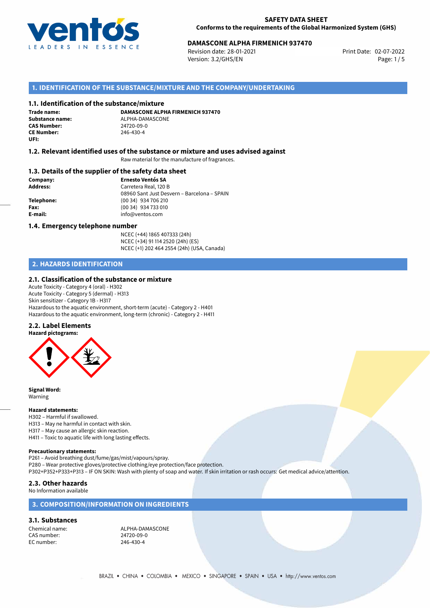

# **DAMASCONE ALPHA FIRMENICH 937470**<br>Revision date: 28-01-2021<br>Print Date: 02-07-2022

Revision date: 28-01-2021 Version: 3.2/GHS/EN Page: 1/5

# **1. IDENTIFICATION OF THE SUBSTANCE/MIXTURE AND THE COMPANY/UNDERTAKING**

#### **1.1. Identification of the substance/mixture**

**Trade name: CAS Number: CE Number:** 246-430-4 **UFI:**

**DAMASCONE ALPHA FIRMENICH 937470 Substance name:** ALPHA-DAMASCONE<br> **CAS Number:** 24720-09-0

#### **1.2. Relevant identified uses of the substance or mixture and uses advised against**

Raw material for the manufacture of fragrances.

#### **1.3. Details of the supplier of the safety data sheet**

**Company: Ernesto Ventós SA Address:** Carretera Real, 120 B 08960 Sant Just Desvern – Barcelona – SPAIN **Telephone:** (00 34) 934 706 210 **Fax:** (00 34) 934 733 010 **E-mail:** info@ventos.com

#### **1.4. Emergency telephone number**

NCEC (+44) 1865 407333 (24h) NCEC (+34) 91 114 2520 (24h) (ES) NCEC (+1) 202 464 2554 (24h) (USA, Canada)

# **2. HAZARDS IDENTIFICATION**

#### **2.1. Classification of the substance or mixture**

Acute Toxicity - Category 4 (oral) - H302 Acute Toxicity - Category 5 (dermal) - H313 Skin sensitizer - Category 1B - H317 Hazardous to the aquatic environment, short-term (acute) - Category 2 - H401 Hazardous to the aquatic environment, long-term (chronic) - Category 2 - H411

#### **2.2. Label Elements**



**Signal Word:** Warning

#### **Hazard statements:**

H302 – Harmful if swallowed. H313 – May ne harmful in contact with skin. H317 – May cause an allergic skin reaction. H411 – Toxic to aquatic life with long lasting effects.

#### **Precautionary statements:**

P261 – Avoid breathing dust/fume/gas/mist/vapours/spray. P280 – Wear protective gloves/protective clothing/eye protection/face protection. P302+P352+P333+P313 – IF ON SKIN: Wash with plenty of soap and water. If skin irritation or rash occurs: Get medical advice/attention.

#### **2.3. Other hazards** No Information available

### **3. COMPOSITION/INFORMATION ON INGREDIENTS**

## **3.1. Substances**

CAS number: EC number: 246-430-4

Chemical name:  $ALPHA-DAMASCONE$ <br>CAS number: 24720-09-0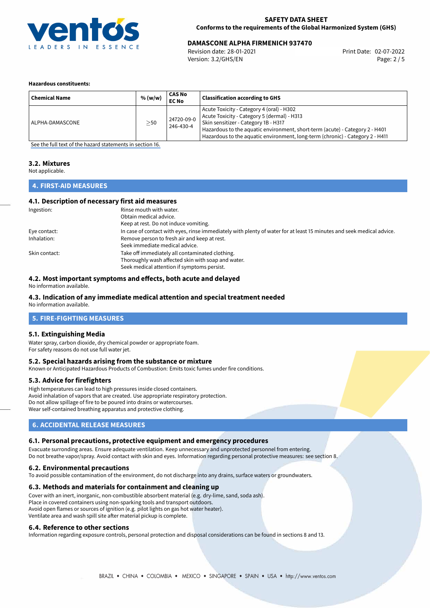

# **DAMASCONE ALPHA FIRMENICH 937470**<br>Revision date: 28-01-2021<br>Print Date: 02-07-2022

Revision date: 28-01-2021 Version: 3.2/GHS/EN Page: 2 / 5

#### **Hazardous constituents:**

| <b>Chemical Name</b> | % (w/w)   | <b>CAS No</b><br><b>EC No</b> | <b>Classification according to GHS</b>                                                                                                                                                                                                                                                            |
|----------------------|-----------|-------------------------------|---------------------------------------------------------------------------------------------------------------------------------------------------------------------------------------------------------------------------------------------------------------------------------------------------|
| ALPHA-DAMASCONE      | $\geq$ 50 | 24720-09-0<br>246-430-4       | Acute Toxicity - Category 4 (oral) - H302<br>Acute Toxicity - Category 5 (dermal) - H313<br>Skin sensitizer - Category 1B - H317<br>Hazardous to the aquatic environment, short-term (acute) - Category 2 - H401<br>Hazardous to the aquatic environment, long-term (chronic) - Category 2 - H411 |

[See the full text of the hazard statements in section 16.](#page-4-0)

#### **3.2. Mixtures**

Not applicable.

# **4. FIRST-AID MEASURES**

## **4.1. Description of necessary first aid measures**

| Ingestion:    | Rinse mouth with water.                                                                                               |  |  |
|---------------|-----------------------------------------------------------------------------------------------------------------------|--|--|
|               | Obtain medical advice.                                                                                                |  |  |
|               | Keep at rest. Do not induce vomiting.                                                                                 |  |  |
| Eye contact:  | In case of contact with eyes, rinse immediately with plenty of water for at least 15 minutes and seek medical advice. |  |  |
| Inhalation:   | Remove person to fresh air and keep at rest.                                                                          |  |  |
|               | Seek immediate medical advice.                                                                                        |  |  |
| Skin contact: | Take off immediately all contaminated clothing.                                                                       |  |  |
|               | Thoroughly wash affected skin with soap and water.                                                                    |  |  |
|               | Seek medical attention if symptoms persist.                                                                           |  |  |

### **4.2. Most important symptoms and effects, both acute and delayed**

No information available.

# **4.3. Indication of any immediate medical attention and special treatment needed**

No information available.

# **5. FIRE-FIGHTING MEASURES**

### **5.1. Extinguishing Media**

Water spray, carbon dioxide, dry chemical powder or appropriate foam. For safety reasons do not use full water jet.

### **5.2. Special hazards arising from the substance or mixture**

Known or Anticipated Hazardous Products of Combustion: Emits toxic fumes under fire conditions.

### **5.3. Advice for firefighters**

High temperatures can lead to high pressures inside closed containers. Avoid inhalation of vapors that are created. Use appropriate respiratory protection. Do not allow spillage of fire to be poured into drains or watercourses. Wear self-contained breathing apparatus and protective clothing.

## **6. ACCIDENTAL RELEASE MEASURES**

### **6.1. Personal precautions, protective equipment and emergency procedures**

Evacuate surronding areas. Ensure adequate ventilation. Keep unnecessary and unprotected personnel from entering. Do not breathe vapor/spray. Avoid contact with skin and eyes. Information regarding personal protective measures: see section 8.

#### **6.2. Environmental precautions**

To avoid possible contamination of the environment, do not discharge into any drains, surface waters or groundwaters.

### **6.3. Methods and materials for containment and cleaning up**

Cover with an inert, inorganic, non-combustible absorbent material (e.g. dry-lime, sand, soda ash). Place in covered containers using non-sparking tools and transport outdoors. Avoid open flames or sources of ignition (e.g. pilot lights on gas hot water heater). Ventilate area and wash spill site after material pickup is complete.

### **6.4. Reference to other sections**

Information regarding exposure controls, personal protection and disposal considerations can be found in sections 8 and 13.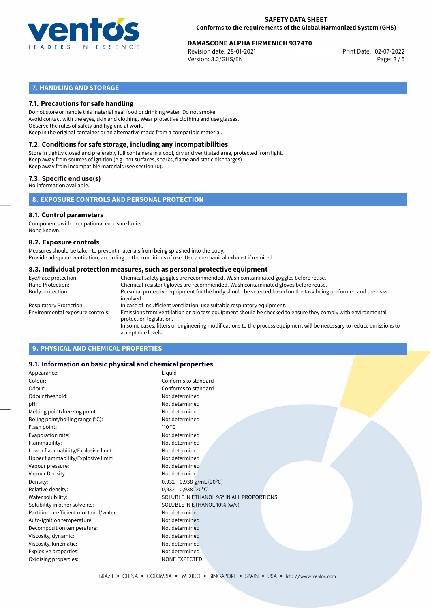

# **DAMASCONE ALPHA FIRMENICH 937470**<br>Revision date: 28-01-2021<br>Print Date: 02-07-2022

Revision date: 28-01-2021 Version: 3.2/GHS/EN Page: 3 / 5

# **7. HANDLING AND STORAGE**

# **7.1. Precautions for safe handling**

Do not store or handle this material near food or drinking water. Do not smoke. Avoid contact with the eyes, skin and clothing. Wear protective clothing and use glasses. Observe the rules of safety and hygiene at work. Keep in the original container or an alternative made from a compatible material.

# **7.2. Conditions for safe storage, including any incompatibilities**

Store in tightly closed and preferably full containers in a cool, dry and ventilated area, protected from light. Keep away from sources of ignition (e.g. hot surfaces, sparks, flame and static discharges). Keep away from incompatible materials (see section 10).

# **7.3. Specific end use(s)**

No information available.

**8. EXPOSURE CONTROLS AND PERSONAL PROTECTION**

#### **8.1. Control parameters**

Components with occupational exposure limits: None known.

#### **8.2. Exposure controls**

Measures should be taken to prevent materials from being splashed into the body. Provide adequate ventilation, according to the conditions of use. Use a mechanical exhaust if required.

#### **8.3. Individual protection measures, such as personal protective equipment**

| Eye/Face protection:             | Chemical safety goggles are recommended. Wash contaminated goggles before reuse.                                                            |  |  |  |  |
|----------------------------------|---------------------------------------------------------------------------------------------------------------------------------------------|--|--|--|--|
| Hand Protection:                 | Chemical-resistant gloves are recommended. Wash contaminated gloves before reuse.                                                           |  |  |  |  |
| Body protection:                 | Personal protective equipment for the body should be selected based on the task being performed and the risks<br>involved.                  |  |  |  |  |
| Respiratory Protection:          | In case of insufficient ventilation, use suitable respiratory equipment.                                                                    |  |  |  |  |
| Environmental exposure controls: | Emissions from ventilation or process equipment should be checked to ensure they comply with environmental<br>protection legislation.       |  |  |  |  |
|                                  | In some cases, filters or engineering modifications to the process equipment will be necessary to reduce emissions to<br>acceptable levels. |  |  |  |  |
|                                  |                                                                                                                                             |  |  |  |  |

# **9. PHYSICAL AND CHEMICAL PROPERTIES**

### **9.1. Information on basic physical and chemical properties**

| Appearance:                            | Liguid                                    |
|----------------------------------------|-------------------------------------------|
| Colour:                                | Conforms to standard                      |
| Odour:                                 | Conforms to standard                      |
| Odour theshold:                        | Not determined                            |
| pH:                                    | Not determined                            |
| Melting point/freezing point:          | Not determined                            |
| Boling point/boiling range (°C):       | Not determined                            |
| Flash point:                           | $110^{\circ}$ C                           |
| Evaporation rate:                      | Not determined                            |
| Flammability:                          | Not determined                            |
| Lower flammability/Explosive limit:    | Not determined                            |
| Upper flammability/Explosive limit:    | Not determined                            |
| Vapour pressure:                       | Not determined                            |
| Vapour Density:                        | Not determined                            |
| Density:                               | $0,932-0,938$ g/mL (20°C)                 |
| Relative density:                      | $0,932-0,938(20^{\circ}C)$                |
| Water solubility:                      | SOLUBLE IN ETHANOL 95° IN ALL PROPORTIONS |
| Solubility in other solvents:          | SOLUBLE IN ETHANOL 10% (w/v)              |
| Partition coefficient n-octanol/water: | Not determined                            |
| Auto-ignition temperature:             | Not determined                            |
| Decomposition temperature:             | Not determined                            |
| Viscosity, dynamic:                    | Not determined                            |
| Viscosity, kinematic:                  | Not determined                            |
| Explosive properties:                  | Not determined                            |
| Oxidising properties:                  | <b>NONE EXPECTED</b>                      |
|                                        |                                           |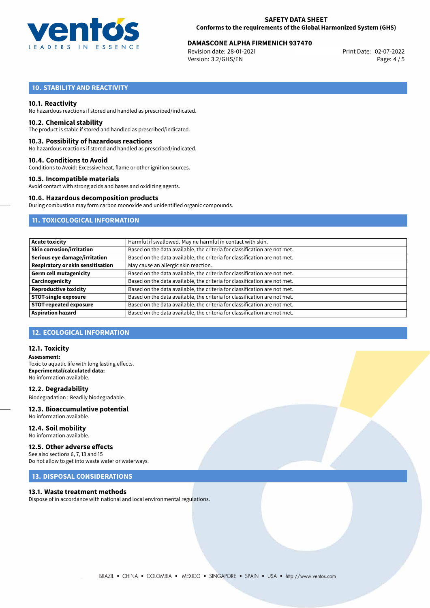

# **DAMASCONE ALPHA FIRMENICH 937470**<br>Revision date: 28-01-2021<br>Print Date: 02-07-2022

Revision date: 28-01-2021 Version: 3.2/GHS/EN Page: 4 / 5

# **10. STABILITY AND REACTIVITY**

#### **10.1. Reactivity**

No hazardous reactions if stored and handled as prescribed/indicated.

#### **10.2. Chemical stability**

The product is stable if stored and handled as prescribed/indicated.

#### **10.3. Possibility of hazardous reactions**

No hazardous reactions if stored and handled as prescribed/indicated.

#### **10.4. Conditions to Avoid**

Conditions to Avoid: Excessive heat, flame or other ignition sources.

#### **10.5. Incompatible materials**

Avoid contact with strong acids and bases and oxidizing agents.

#### **10.6. Hazardous decomposition products**

During combustion may form carbon monoxide and unidentified organic compounds.

# **11. TOXICOLOGICAL INFORMATION**

| <b>Acute toxicity</b>             | Harmful if swallowed. May ne harmful in contact with skin.                |
|-----------------------------------|---------------------------------------------------------------------------|
| <b>Skin corrosion/irritation</b>  | Based on the data available, the criteria for classification are not met. |
| Serious eye damage/irritation     | Based on the data available, the criteria for classification are not met. |
| Respiratory or skin sensitisation | May cause an allergic skin reaction.                                      |
| <b>Germ cell mutagenicity</b>     | Based on the data available, the criteria for classification are not met. |
| Carcinogenicity                   | Based on the data available, the criteria for classification are not met. |
| <b>Reproductive toxicity</b>      | Based on the data available, the criteria for classification are not met. |
| <b>STOT-single exposure</b>       | Based on the data available, the criteria for classification are not met. |
| <b>STOT-repeated exposure</b>     | Based on the data available, the criteria for classification are not met. |
| <b>Aspiration hazard</b>          | Based on the data available, the criteria for classification are not met. |

# **12. ECOLOGICAL INFORMATION**

#### **12.1. Toxicity**

**Assessment:** Toxic to aquatic life with long lasting effects. **Experimental/calculated data:** No information available.

**12.2. Degradability** Biodegradation : Readily biodegradable.

#### **12.3. Bioaccumulative potential** No information available.

**12.4. Soil mobility**

# No information available.

#### **12.5. Other adverse effects**

See also sections 6, 7, 13 and 15 Do not allow to get into waste water or waterways.

### **13. DISPOSAL CONSIDERATIONS**

#### **13.1. Waste treatment methods**

Dispose of in accordance with national and local environmental regulations.